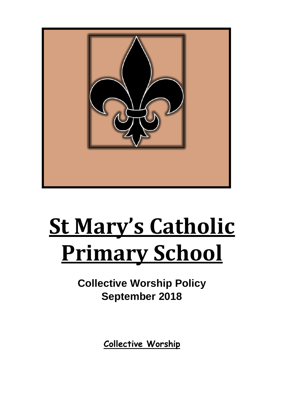

# **St Mary's Catholic Primary School**

**Collective Worship Policy September 2018** 

**Collective Worship**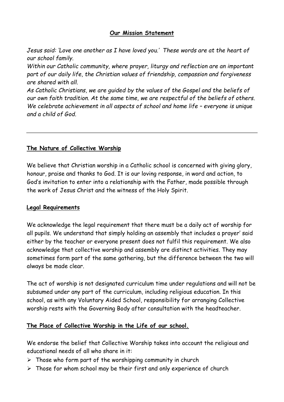## **Our Mission Statement**

*Jesus said: 'Love one another as I have loved you.' These words are at the heart of our school family.* 

*Within our Catholic community, where prayer, liturgy and reflection are an important part of our daily life, the Christian values of friendship, compassion and forgiveness are shared with all.* 

*As Catholic Christians, we are guided by the values of the Gospel and the beliefs of our own faith tradition. At the same time, we are respectful of the beliefs of others. We celebrate achievement in all aspects of school and home life - everyone is unique and a child of God.* 

# **The Nature of Collective Worship**

We believe that Christian worship in a Catholic school is concerned with giving glory, honour, praise and thanks to God. It is our loving response, in word and action, to God's invitation to enter into a relationship with the Father, made possible through the work of Jesus Christ and the witness of the Holy Spirit.

#### **Legal Requirements**

We acknowledge the legal requirement that there must be a daily act of worship for all pupils. We understand that simply holding an assembly that includes a prayer' said either by the teacher or everyone present does not fulfil this requirement. We also acknowledge that collective worship and assembly are distinct activities. They may sometimes form part of the same gathering, but the difference between the two will always be made clear.

The act of worship is not designated curriculum time under regulations and will not be subsumed under any part of the curriculum, including religious education. In this school, as with any Voluntary Aided School, responsibility for arranging Collective worship rests with the Governing Body after consultation with the headteacher.

## **The Place of Collective Worship in the Life of our school.**

We endorse the belief that Collective Worship takes into account the religious and educational needs of all who share in it:

- $\triangleright$  Those who form part of the worshipping community in church
- $\triangleright$  Those for whom school may be their first and only experience of church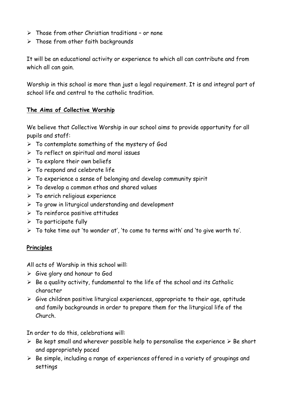- $\triangleright$  Those from other Christian traditions or none
- $\triangleright$  Those from other faith backgrounds

It will be an educational activity or experience to which all can contribute and from which all can gain.

Worship in this school is more than just a legal requirement. It is and integral part of school life and central to the catholic tradition.

# **The Aims of Collective Worship**

We believe that Collective Worship in our school aims to provide opportunity for all pupils and staff:

- $\triangleright$  To contemplate something of the mystery of God
- $\triangleright$  To reflect on spiritual and moral issues
- $\triangleright$  To explore their own beliefs
- $\triangleright$  To respond and celebrate life
- $\triangleright$  To experience a sense of belonging and develop community spirit
- $\triangleright$  To develop a common ethos and shared values
- $\triangleright$  To enrich religious experience
- $\triangleright$  To grow in liturgical understanding and development
- $\triangleright$  To reinforce positive attitudes
- $\triangleright$  To participate fully
- $\triangleright$  To take time out 'to wonder at', 'to come to terms with' and 'to give worth to'.

## **Principles**

All acts of Worship in this school will:

- $\triangleright$  Give glory and honour to God
- $\triangleright$  Be a quality activity, fundamental to the life of the school and its Catholic character
- $\triangleright$  Give children positive liturgical experiences, appropriate to their age, aptitude and family backgrounds in order to prepare them for the liturgical life of the Church.

In order to do this, celebrations will:

- $\triangleright$  Be kept small and wherever possible help to personalise the experience  $\triangleright$  Be short and appropriately paced
- $\triangleright$  Be simple, including a range of experiences offered in a variety of groupings and settings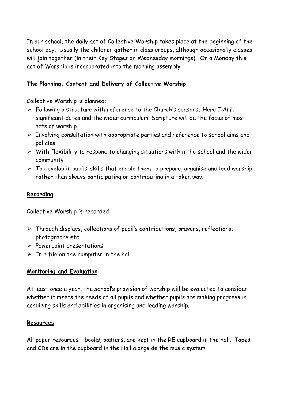In our school, the daily act of Collective Worship takes place at the beginning of the school day. Usually the children gather in class groups, although occasionally classes will join together (in their Key Stages on Wednesday mornings). On a Monday this act of Worship is incorporated into the morning assembly.

## **The Planning, Content and Delivery of Collective Worship**

Collective Worship is planned;

- Following a structure with reference to the Church's seasons, 'Here I Am', significant dates and the wider curriculum. Scripture will be the focus of most acts of worship
- $\triangleright$  Involving consultation with appropriate parties and reference to school aims and policies
- $\triangleright$  With flexibility to respond to changing situations within the school and the wider community
- $\triangleright$  To develop in pupils' skills that enable them to prepare, organise and lead worship rather than always participating or contributing in a token way.

#### **Recording**

Collective Worship is recorded

- $\triangleright$  Through displays, collections of pupil's contributions, prayers, reflections, photographs etc.
- $\triangleright$  Powerpoint presentations
- $\triangleright$  In a file on the computer in the hall.

## **Monitoring and Evaluation**

At least once a year, the school's provision of worship will be evaluated to consider whether it meets the needs of all pupils and whether pupils are making progress in acquiring skills and abilities in organising and leading worship.

#### **Resources**

All paper resources – books, posters, are kept in the RE cupboard in the hall. Tapes and CDs are in the cupboard in the Hall alongside the music system.